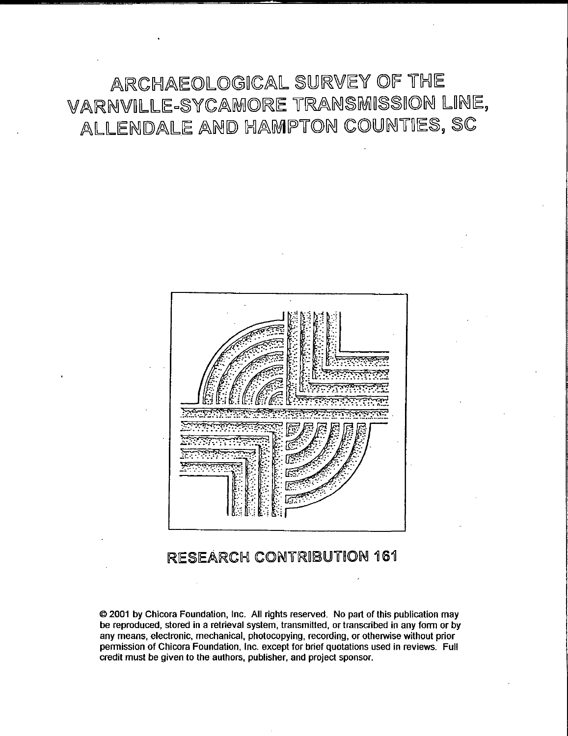ARCHAEOLOGICAL SURVEY OF THE VARNVILLE-SYCAMORE TRANSMISSION LINE, ALLENDALE AND HAMPTON COUNTIES, SC



# RESEARCH CONTRIBUTION 161

© 2001 by Chicora Foundation, Inc. All rights reserved. No part of this publication may be reproduced, stored in a retrieval system, transmitted, or transcribed in any form or by any means, electronic, mechanical, photocopying, recording, or otherwise without prior permission of Chicora Foundation, Inc. except for brief quotations used in reviews. Full credit must be given to the authors, publisher, and project sponsor.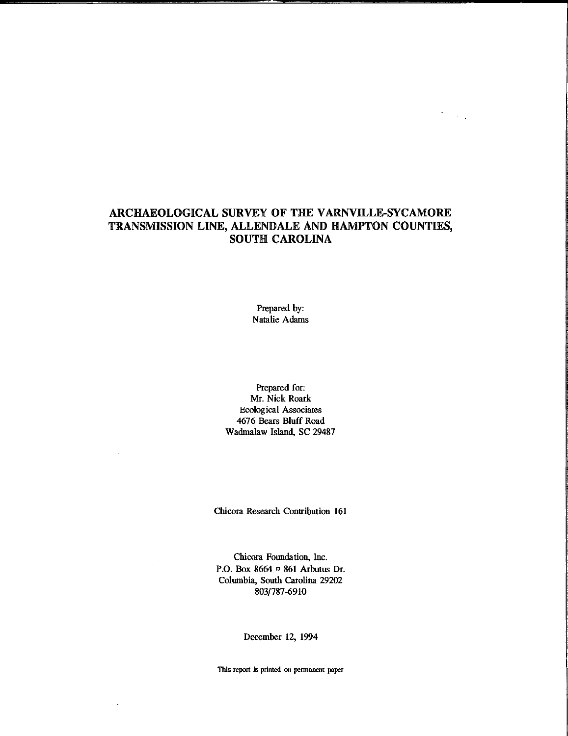# ARCHAEOLOGICAL SURVEY OF THE VARNVILLE-SYCAMORE TRANSMISSION LINE, ALLENIDALE AND HAMPTON COUNTIES, SOUTH CAROLINA

 $\Box$  $\sim 10^{11}$ 

Prepared by: Natalie Adams

Prepared for: Mr. Nick Roark Ecological Associates 4676 Bears Bluff Road Wadmalaw Island, SC 29487

Chicora Research Contribution 161

Chicora Foundation, Inc. P.O. Box 8664 <sup>o</sup> 861 Arbutus Dr. Columbia, South Carolina 29202 803/787-6910

December 12, 1994

**This report is printed on permanent paper**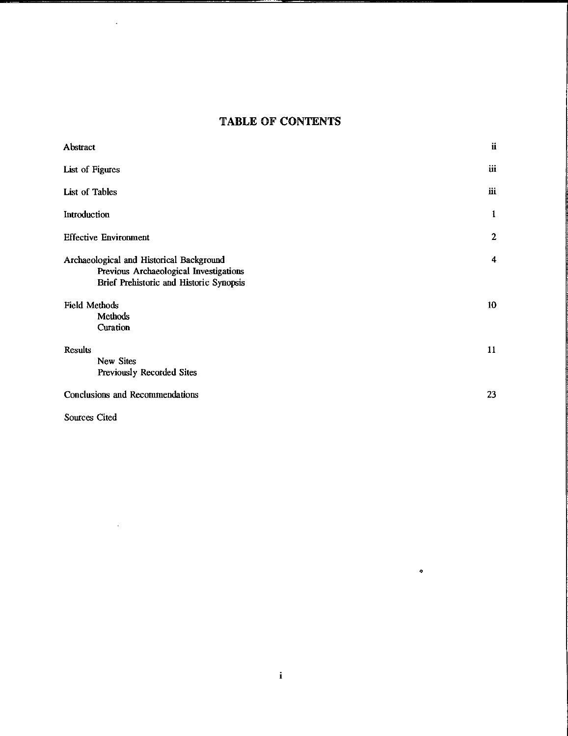# **TABLE OF CONTENTS**

| Abstract                                                                                                                      | ü            |
|-------------------------------------------------------------------------------------------------------------------------------|--------------|
| List of Figures                                                                                                               | iii          |
| List of Tables                                                                                                                | iii          |
| Introduction                                                                                                                  | 1            |
| <b>Effective Environment</b>                                                                                                  | $\mathbf{2}$ |
| Archaeological and Historical Background<br>Previous Archaeological Investigations<br>Brief Prehistoric and Historic Synopsis | 4            |
| <b>Field Methods</b><br>Methods<br>Curation                                                                                   | 10           |
| <b>Results</b><br>New Sites<br>Previously Recorded Sites                                                                      | 11           |
| Conclusions and Recommendations                                                                                               | 23           |

Sources Cited

 $\mathcal{L}^{\text{max}}_{\text{max}}$  , where  $\mathcal{L}^{\text{max}}_{\text{max}}$ 

 $\Box$ 

 $\bullet$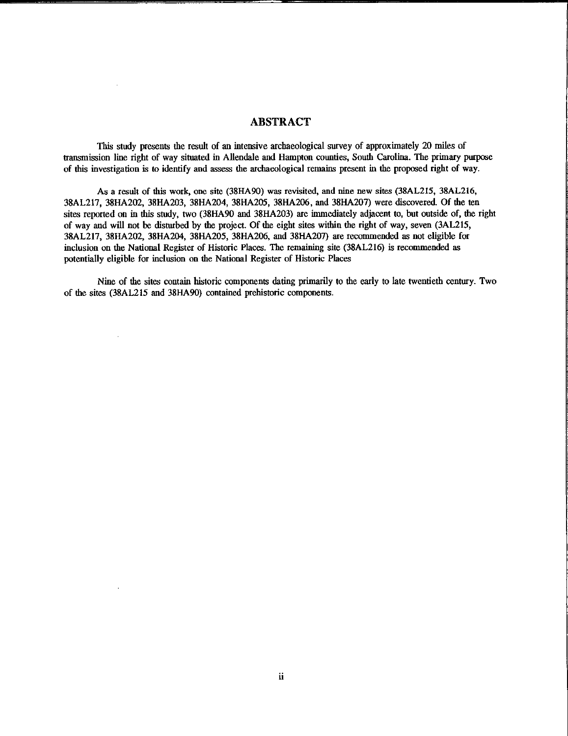### ABSTRACT

This study presents the result of an intensive archaeological survey of approximately 20 miles of transmission line right of way situated in Allendale and Hampton counties, South Carolina. The primary purpose of this investigation is to identify and assess the archaeological remains present in the proposed right of way.

As a result of this work, one site (38HA90) was revisited, and nine new sites (38AL215, 38AL216, 38AL217, 38HA202, 38HA203, 38HA204, 38HA205, 38HA206, and 38HA207) were discovered. Of the ten sites reported on in this study, two (38HA90 and 38HA203) are immediately adjacent to, but outside of, the right of way and will not be disturbed by the project. Of the eight sites within the right of way, seven (3AL215, 38AL217, 38HA202, 38HA204, 38HA205, 38HA206, and 38HA207) are recommended as not eligible for inclusion on the National Register of Historic Places. The remaining site (38AL216) is recommended as potentially eligible for inclusion on the National Register of Historic Places

Nine of the sites contain historic components dating primarily to the early to late twentieth century. Two of the sites (38AL215 and 38HA90) contained prehistoric components.

 $\ddot{\phantom{a}}$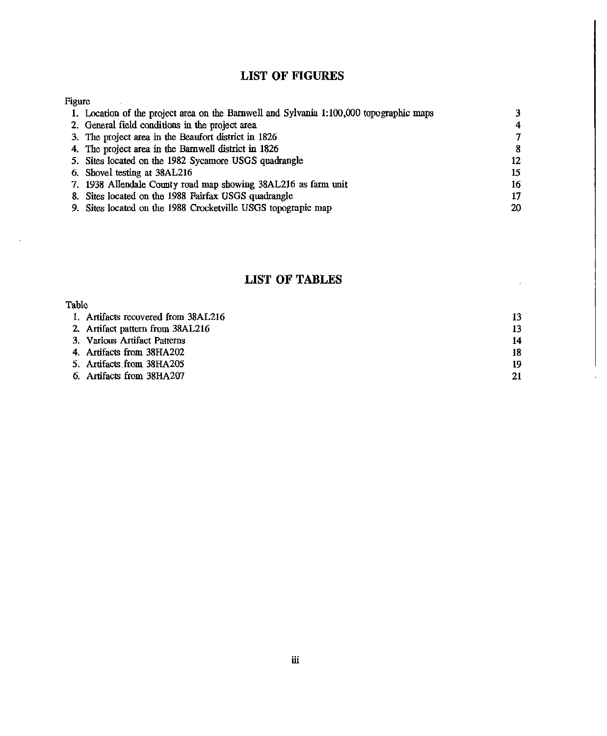## **LIST OF FIGURES**

## Figure

 $\ddot{\phantom{a}}$ 

 $\mathcal{L}$ 

| 1. Location of the project area on the Barnwell and Sylvania 1:100,000 topographic maps |                |
|-----------------------------------------------------------------------------------------|----------------|
| 2. General field conditions in the project area                                         | $\overline{4}$ |
| 3. The project area in the Beaufort district in 1826                                    | 7              |
| 4. The project area in the Barnwell district in 1826                                    | -8             |
| 5. Sites located on the 1982 Sycamore USGS quadrangle                                   | 12             |
| 6. Shovel testing at 38AL216                                                            | 15             |
| 7. 1938 Allendale County road map showing 38AL216 as farm unit                          | 16             |
| 8. Sites located on the 1988 Fairfax USGS quadrangle                                    | 17             |
| 9. Sites located on the 1988 Crocketville USGS topograpic map                           | 20             |

# **LIST OF TABLES**

| Table                               |    |
|-------------------------------------|----|
| 1. Artifacts recovered from 38AL216 | 13 |
| 2. Artifact pattern from 38AL216    | 13 |
| 3. Various Artifact Patterns        | 14 |
| 4. Artifacts from 38HA202           | 18 |
| 5. Artifacts from 38HA205           | 19 |
| 6. Artifacts from 38HA207           | 21 |

.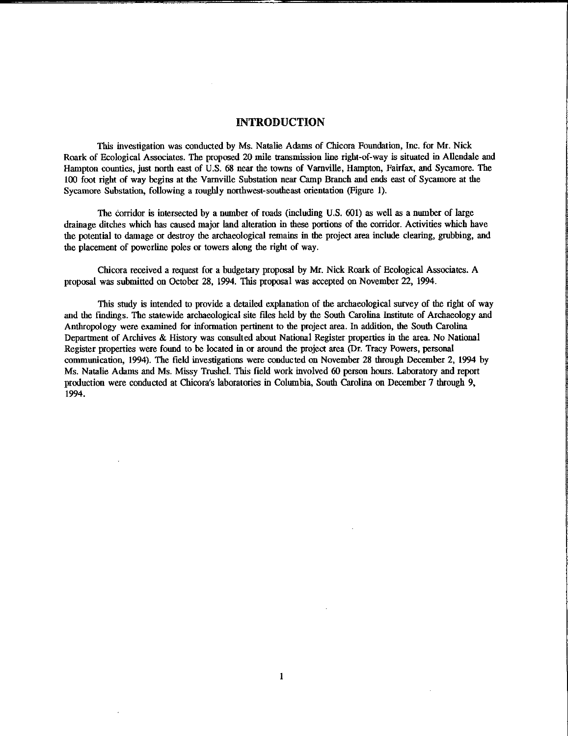#### INTRODUCTION

This investigation was conducted by Ms. Natalie Adams of Chicora Foundation, Inc. for Mr. Nick Roark of Ecological Associates. The proposed 20 mile transmission line right-of-way is situated in Allendale and Hampton counties, just north east of U.S. 68 near the towns of Varnville, Hampton, Fairfax, and Sycamore. The 100 foot right of way begins at the Varnville Substation near Camp Branch and ends east of Sycamore at the Sycamore Substation, following a roughly northwest-southeast orientation (Figure 1).

The corridor is intersected by a number of roads (including U.S. 601) as well as a number of large drainage ditches which has caused major land alteration in these portions of the corridor. Activities which have the potential to damage or destroy the archaeological remains in the project area include clearing, grubbing, and the placement of powerline poles or towers along the right of way.

Chicora received a request for a budgetary proposal by Mr. Nick Roark of Ecological Associates. A proposal was submitted on October 28, 1994. This proposal was accepted on November 22, 1994.

This study is intended to provide a detailed explanation of the archaeological survey of the right of way and the fmdings. The statewide archaeological site files held by the South Carolina Institute of Archaeology and Anthropology were examined for information pertinent to the project area. In addition, the South Carolina Department of Archives & History was consulted about National Register properties in the area. No National Register properties were found to be located in or around the project area (Dr. Tracy Powers, personal communication, 1994). The field investigations were conducted on November 28 through December 2, 1994 by Ms. Natalie Adams and Ms. Missy Trushel. This field work involved 60 person hours. Laboratory and report production were conducted at Chicora's laboratories in Columbia, South Carolina on December 7 through 9, 1994.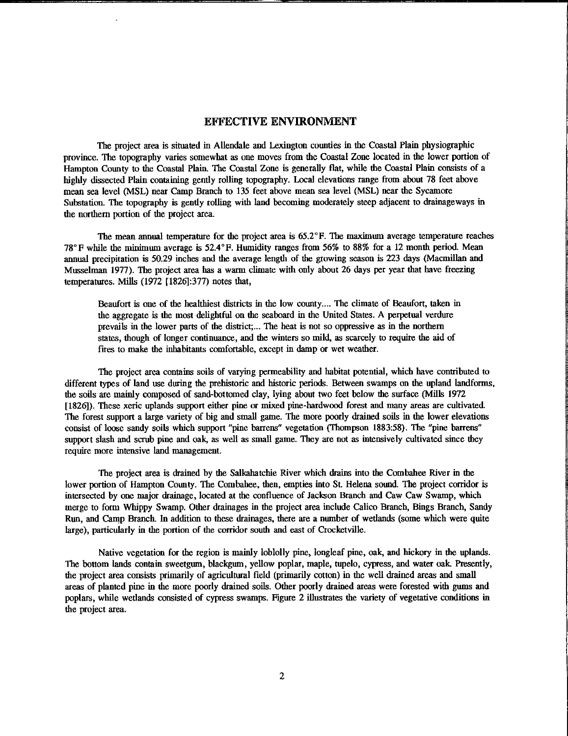### EFFECTIVE ENVIRONMENT

The project area is situated in Allendale and Lexington counties in the Coastal Plain physiographic province. The topography varies somewhat as one moves from the Coastal Zone located in the lower portion of Hampton County to the Coastal Plain. The Coastal Zone is generally flat, while the Coastal Plain consists of a highly dissected Plain containing gently rolling topography. Local elevations range from about 78 feet above mean sea level (MSL) near Camp Branch to 135 feet above mean sea level (MSL) near the Sycamore Substation. The topography is gently rolling with land becoming moderately steep adjacent to drainageways in the northern portion of the project area.

The mean annual temperature for the project area is 65.2°F. The maximum average temperature reaches 78°F while the minimum average is 52.4°F. Humidity ranges from 56% to 88% for a 12 month period. Mean annual precipitatioo is 50.29 inches and the average length of the growing season is 223 days (Macmillan and Musselman 1977). The project area has a warm climate with only about 26 days per year that have freezing temperatures. Mills (1972 [1826]:377) notes that,

Beaufort is one of the healthiest districts in the low county.... The climate of Beaufort, taken in the aggregate is the most delightful on the seaboard in the United States. A perpetual verdure prevails in the lower parts of the dislrict; ... The heat is not so oppressive as in the northern states, though of looger continuance, and the winters so mild, as scarcely to require the aid of fifes to make the inhabitants comfortable, except in damp or wet weather.

The project area contains soils of varying permeability and habitat potential, which have contributed to different types of land use during the prehistoric and historic periods. Between swamps on the upland landforms, the soils are mainly composed of sand-bottomed clay, lying about two feet below the surface (Mills 1972 [1826]). These xeric uplands support either pine or mixed pine-hardwood forest and many areas are cultivated. The forest support a large variety of big and small game. The more poorly drained soils in the lower elevations consist of loose sandy soils which support "pine barrens" vegetation (Thompson 1883:58). The "pine barrens" support slash and scrub pine and oak, as well as small game. They are not as intensively cultivated since they require more intensive land management.

The project area is drained by the Salkahatchie River which drains into the Combahee River in the lower portion of Hampton County. The Combahee, then, empties into St. Helena sound. The project corridor is intersected by one major drainage, located at the confluence of Jackson Branch and Caw Caw Swamp, which merge to form Whippy Swamp. Other drainages in the project area include Calico Branch, Bings Branch, Sandy Run, and Camp Branch. In addition to these drainages, there are a number of wetlands (some which were quite large), particularly in the portion of the corridor south and east of Crocketville.

Native vegetation for the region is mainly loblolly pine, longleaf pine, oak, and hickory in the uplands. The bottom lands contain sweetgum, blackgum, yellow poplar, maple, tupelo, cypress, and water oak. Presently, the project area consists primarily of agticultural field (primarily cottoo) in the well drained areas and small areas of planted pine in the more poorly drained soils. Other poorly drained areas were forested with gums and poplars, while wetlands consisted of cypress swamps. Figure 2 illustrates the variety of vegetative cooditions in the project area.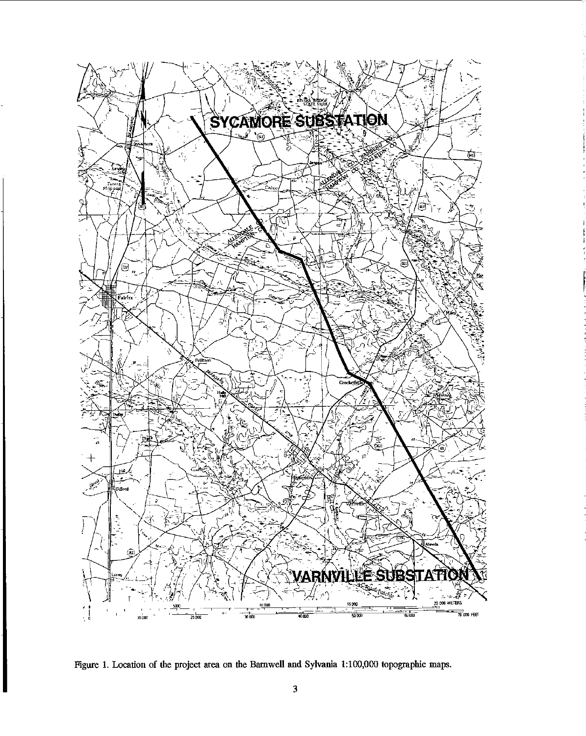

Figure I. Location of the project area on the Barnwell and Sylvania 1:100,000 topographic maps.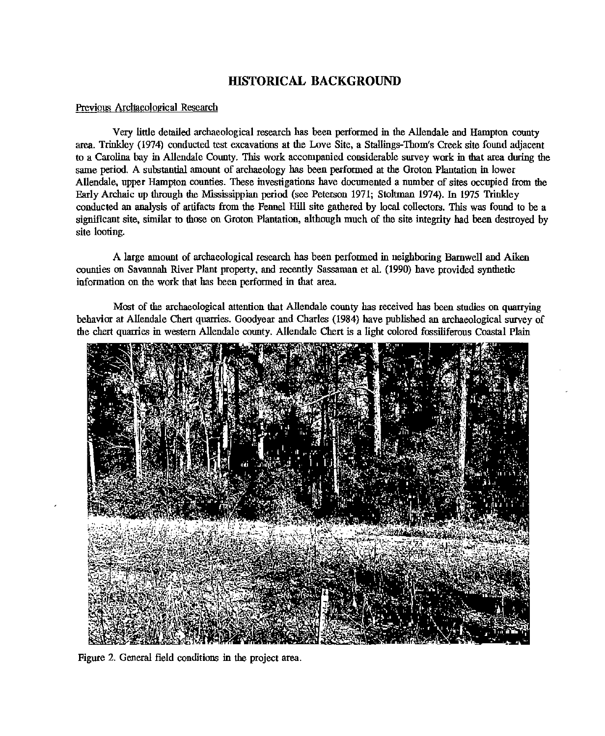## **HISTORICAL BACKGROUND**

#### Previous Archaeological Research

Very little detailed archaeological research has been performed in the Allendale and Hampton county area. Trinkley (1974) conducted test excavations at the Love Site, a Stallings-Thom's Creek site found adjacent to a Carolina bay in Allendale County. This work accompanied considerable survey work in that area dnring the same period. A substantial amount of archaeology has been performed ar the Groton Plantation in lower Allendale, upper Hampton counties. These investigations have documented a number of sites occupied from the Early Archaic up through the Mississippian period (see Peterson 1971; Stoltman 1974). In 1975 Trinkley conducted an analysis of artifacts from the Fennel Hill site gathered by local collectors. This was found to be a significant site, similar to those on Groton Plantation, although much of the site integrity had been destroyed by site looting.

A large amount of archaeological research has been performed in neighboring Barnwell and Aiken counties on Savannah River Plant property, and recently Sassaman et al. (1990) have provided synthetic information on the work that has been performed in that area.

Most of the archaeological attention that Allendale county has received has been studies on quarrying behavior at Allendale Chert quarries. Goodyear and Charles (1984) have published an archaeological survey of the chert quarries in western Allendale county. Allendale Chert is a light colored fossiliferous Coastal Plain



Figure 2. General field conditions in the project area.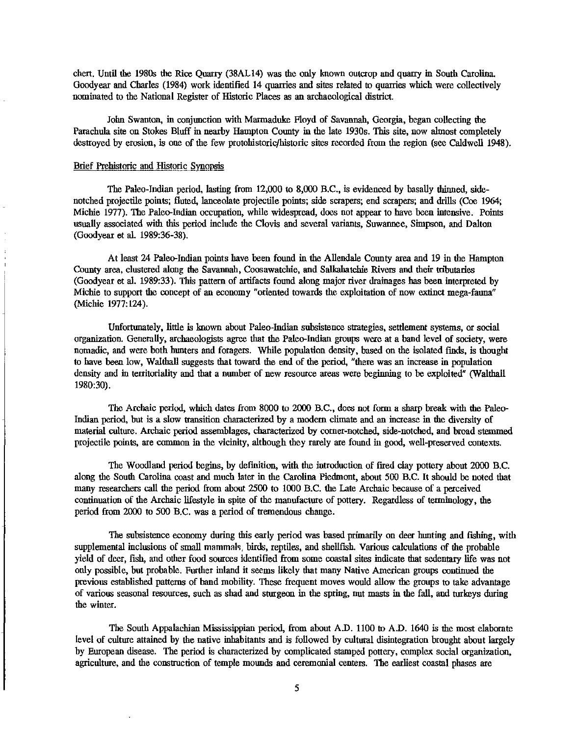chert. Until the 1980s the Rice Quarry (38AL14) was the only known outcrop and quarry in South Carolina. Goodyear and Charles (1984) work identified 14 quarries and sites related to quarries which were collectively nominated to the National Register of Historic Places as an archaeological district.

John Swanton, in conjunction with Marmaduke Floyd of Savannah, Georgia, began collecting the Parachula site on Stokes Bluff in nearby Hampton County in the late 1930s. This site, now almost completely destroyed by erosion, is one of the few protohistoric/historic sites recorded from the region (see Caldwell 1948).

#### Brief Prehistoric and Historic Synopsis

The Paleo-Indian period, lasting from 12,000 to 8,000 B.C., is evidenced by basally thinned, sidenotched projectile points; fluted, Janceolate projectile points; side scrapers; end scrapers; and drills (Coe 1964; Michie 1977). The Paleo-Indian occupation, while widespread, does not appear to have been intensive. Points usually associated with this period include the Clovis and several variants, Suwannee, Simpson, and Dalton (Goodyear et al. 1989:36-38).

At least 24 Paleo-Indian points have been found in the Allendale County area and 19 in the Hampton County area, clustered along the Savannah, Coosawatchie, and Salkahatchie Rivers and their tributaries (Goodyear et al. 1989:33). This pattern of artifacts found along major river drainages bas been interpreted by Michie to support the concept of an economy "oriented towards the exploitation of now extinct mega-fauna" (Michie 1977:124).

Unfortunately, little is known about Paleo-Indian subsistence strategies, settlement systems, or social organization. Generally, archaeologists agree that the Paleo-Indian groups were at a band level of society, were nomadic, and were both hunters and foragers. While population density, based on the isolated finds, is thought to have been low, Walthall suggests that toward the end of the period, "there was an increase in population density and in territoriality and that a number of new resource areas were beginning to be exploited" (Walthall 1980:30).

The Archaic period, which dates from 8000 to 2000 B.C., does not form a sharp break with the Paleo-Indian period, but is a slow transition characterized by a modem climate and an increase in the diversity of material culture. Archaic period assemblages, characterized by comer-notched, side-notched, and broad stemmed projectile points, are common in the vicinity, although they rarely are found in good, well-preserved contexts.

The Woodland period begins, by definition, with the introduction of fired clay pottery about 2000 B.C. along the South Carolina coast and much later in the Carolina Piedmont, about 500 B.C. It should be noted that many researchers call the period from about 2500 to 1000 B.C. the Late Archaic because of a perceived continuation of the Archaic lifestyle in spite of the manufacture of pottery. Regardless of terminology, the period from 2000 to 500 B.C. was a period of tremendous change.

The subsistence economy during this early period was based primarily on deer hunting and fishing, with supplemental inclusions of small mammals, birds, reptiles, and shellfish. Various calculations of the probable yield of deer, fish, and other food sources identified from some coastal sites indicate that sedentary life was not only possible, but probable. Further inland it seems likely that many Native American groups continued the previous established patterns of band mobility. These frequent moves would allow the groups to take advantage of various seasonal resources, such as shad and sturgeon in the spring, nut masts in the fall, and turkeys during the winter.

The South Appalachian Mississippian period, from about A.D. 1100 to A.D. 1640 is the most elaborate level of culture attained by the native inhabitants and is followed by cultural disintegration brought about largely by European disease. The period is characterized by complicated stamped pottery, complex social organization, agriculture, and the construction of temple mounds and ceremonial centers. The earliest coastal phases are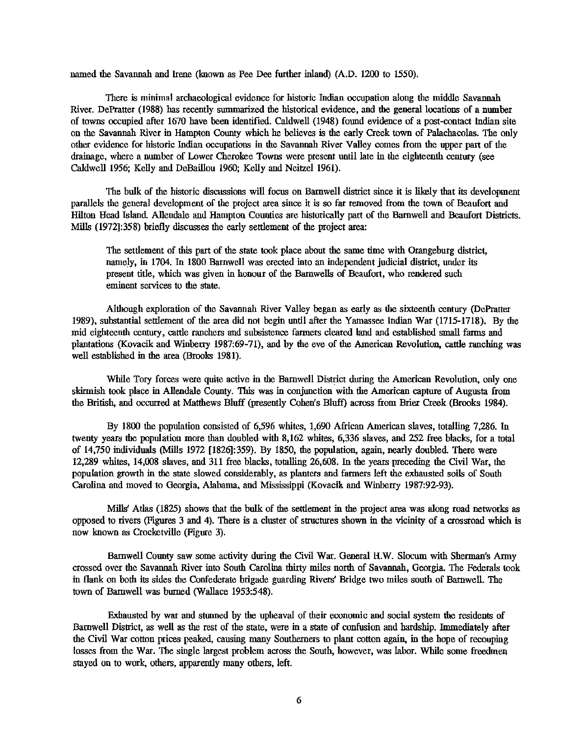named the Savannah and Irene (known as Pee Dee further inland) (A.D. 1200 to 1550).

There is minimal archaeological evidence for historic Indian occupation along the middle Savannah River. DePratter (1988) has recently summarized the historical evidence, and the general locations of a number of towns occupied after 1670 have been identified. Caldwell (1948) fonnd evidence of a post-contact Indian site on the Savannah River in Hampton County which he believes is the early Creek town of Palachacolas. The only other evidence for historic Indian occupations in the Savannah River Valley comes from the upper part of the drainage, where a number of Lower Cherokee Towns were present nntil late in the eighteenth century (see Caldwell 1956; Kelly and DeBaillou 1960; Kelly and Neitzel 1961).

The bulk of the historic discussions will focus on Barnwell district since it is likely that its development parallels the general development of the project area since it is so far removed from the town of Beanfort and Hilton Head Island Allendale and Hampton Connties are historically part of the Barnwell and Beanfort Districts. Mills (1972]:358) briefly discusses the early settlement of the project area:

The settlement of this part of the state took place about the same time with Orangeburg district, namely, in 1704. In 1800 Barnwell was erected into an independent judicial district, nnder its present title, which was given in honour of the Barnwells of Beanfort, who rendered such eminent services to the state.

Although exploration of the Savannah River Valley began as early as the sixteenth century (DePratter 1989), substantial settlement of the area did not begin nntll after the Yamassee Indian War (1715-1718). By the mid eighteenth century, cattle ranchers and subsistence farmers cleared land and established small farms and plantations (Kovacik and Winberry 1987:69-71), and by the eve of the American Revolution, cattle ranching was well established in the area (Brooks 1981).

While Tory forces were quite active in the Barnwell District during the American Revolution, only one skirmish took place in Allendale County. This was in conjnnction with the American capture of Augusta from the British, and occurred at Matthews Bluff (presently Cohen's Bluff) across from Brier Creek (Brooks 1984).

By 1800 the population consisted of 6,596 whites, 1,690 African American slaves, totalling 7,286. In twenty years the population more than doubled with 8,162 whites, 6,336 slaves, and 252 free blacks, for a total of 14,750 individuals (Mills 1972 [1826]:359). By 1850, the population, again, nearly doubled There were 12,289 whites, 14,008 slaves, and 311 free blacks, totalling 26,608. In the years preceding the Civil War, the population growth in the state slowed considerably, as planters and farmers left the exhausted soils of South Carolina and moved to Georgia, Alabama, and Mississippi (Kovacik and Winberry 1987:92-93).

Mills' Atlas (1825) shows that the bulk of the settlement in the project area was along road networks as opposed to rivers (Figures 3 and 4). There is a cluster of sttuctures shown in the vicinity of a crossroad which is now known a8 Crocketville (Figure 3).

Barnwell Connty saw some activity during the Civil War. General H.W. Slocum with Sherman's Army crossed over the Savannah River into Sonth Carolina thirty miles north of Savannah, Georgia. The Federals took in flank on both its sides the Confederate brigade guarding Rivers' Bridge two miles south of Barnwell. The town of Barnwell was burned (Wallace 1953:548).

Exhausted by war and stunned by the upheaval of their economic and social system the residents of Barnwell District, as well as the rest of the state, were in a state of confusion and hardship. Immediately after the Civil War cotton prices peaked, causing many Southerners to plant cotton again, in the hope of recouping losses from the War. The single largest problem across the South, however, was labor. While some freedmen stayed on to work, others, apparently many others, left.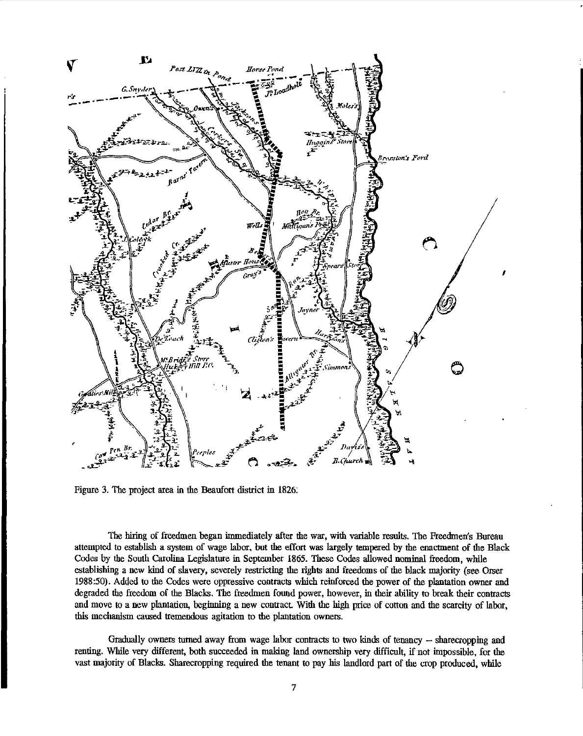

Figure 3. The project area in the Beaufort district in 1826:

The hiring of freedmen began immediately after the war, with variable results. The Freedmen's Bureau attempted to establish a system of wage labor, but the effort was largely tempered by the enactment of the Black Codes by the South Carolina Legislature in September 1865. These Codes allowed nominal freedom, while establishing a new kind of slavery, severely restricting the rights and freedoms of the black majority (see Orser 1988:50). Added to the Codes were oppressive contracts which reinforced the power of the plantation owner and degraded the freedom of the Blacks. The freedmen found power, however, in their ability to break their contracts and move to a new plantation, beginning a new contract. With the high price of cotton and the scarcity of labor, this mechanism caused tremendous agitation to die plantation owners.

Gradually owners turned away from wage labor contracts to two kinds of tenancy -- sharecropping and renting. While very different, both succeeded in making land ownership very difficult, if not impossible, for the vast majority of Blacks. Sharecropping required the tenant to pay his landlord part of the crop produced, while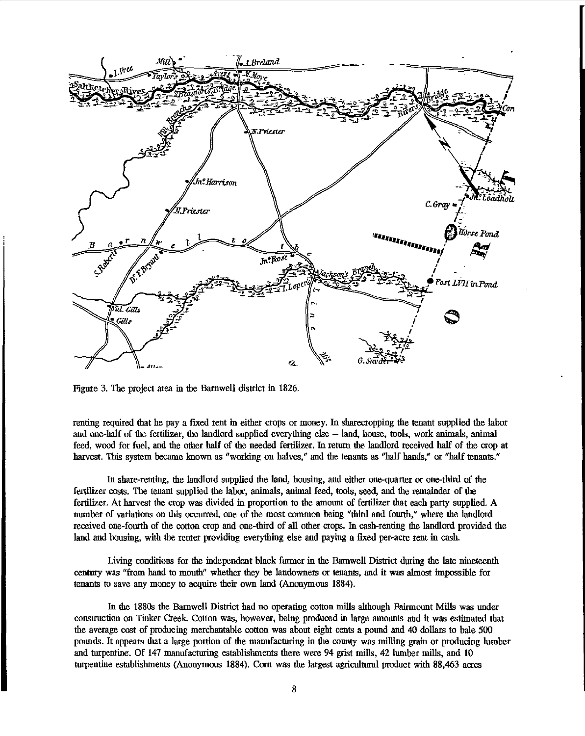

Figure 3. The project area in the Barnwell district in 1826.

renting required that he pay a fixed rent in either crops or money. In sharecropping the tenant supplied the labor and one-half of the fertilizer, the landlord supplied everything else - land, house, tools, work animals, animal feed, wood for fuel, and the other half of the needed fertilizer. In return the landlord received half of the crop at harvest. This system became known as "working on halves," and the tenants as "half hands," or "half tenants."

In share-renting, the landlord supplied the land, housing, and either one-quarter or one-third of the fertilizer costs. The tenant supplied the labor, animals, animal feed, tools, seed, and the remainder of the fertilizer. At harvest the crop was divided in proportion to the amount of fertilizer that each party supplied. A mnnber of variations on this occurred, one of the most common being "third and fourth,'' where the landlord received one-fowth of the cotton crop and one-third of all other crops. In cash-renting the landlord provided the land and housing, with the renter providing everything else and paying a fixed per-acre rent in cash.

Living conditions for the independent black farmer in the Barnwell District during the late nineteenth centmy was "from hand to mouth'' whether they be landowners or tenants, and it was almost impossible for tenants to save any money to acquire their own land (Anonymous 1884).

ln the 1880s the Barnwell District had no operating cotton mills although Fairmount Mills was under construction on Tinker Creek. Cotton was, however, being produced in large amounts and it was estimated that the average cost of producing merchantable cotton was abont eight cents a pound and 40 dollars to bale 500 pounds. It appears that a large portion of the manufacturing in the county was milling grain or producing lumber and turpentine. Of 147 manufacturing establishments there were 94 grist mills, 42 lumber mills, and 10 turpentine establishments (Anonymous 1884). Corn was the largest agricultural product with 88,463 acres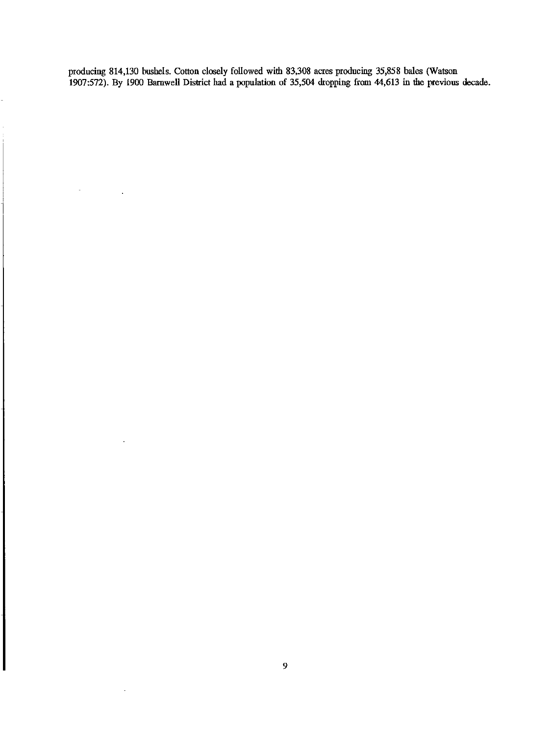producing 814,130 bushels. Cotton closely followed with 83,308 acres producing 35,858 bales (Watson 1907:572). By 1900 Barnwell District had a population of 35,504 dropping from 44,613 in the previous decade.

 $\overline{a}$ 

 $\ddot{\phantom{a}}$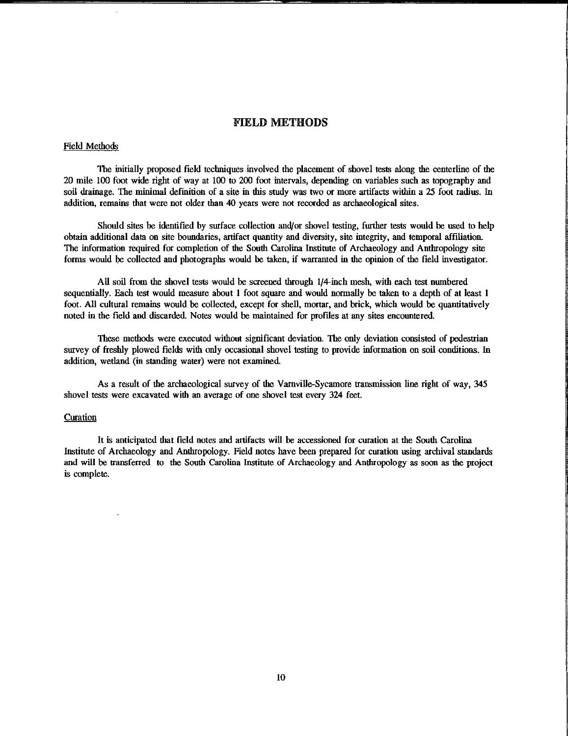## FIELD METHODS

#### Field Methods

The initially proposed field techniques involved the placement of shovel tests along the centerline of the 20 mile 100 foot wide right of way at 100 to 200 foot intervals, depending on variables such as topography and soil drainage. The minimal definition of a site in this study was two or more artifacts within a 25 foot radius. In addition, remains that were not older than 40 years were not recorded as archaeological sites.

Should sites be identified by surface collection and/or shovel testing, further tests would be used to help obtain additional data on site boundaries, artifact quantity and diversity, site integrity, and temporal affiliation. The information required for completion of the South Carolina Institute of Archaeology and Anthropology site forms would be collected and photographs would be taken, if warranted in the opinion of the field investigator.

All soil from the shovel tests would be screened through 1/4-inch mesh, with each test numbered sequentially. Each test would measure about 1 foot square and would normally be taken to a depth of at least I foot. All cultural remains would be collected, except for shell, mortar, and brick, which would be quantitatively noted in the field and discarded Notes would be maintained for profiles at any sites encountered.

These methods were executed without significant deviation. The only deviation consisted of pedestrian survey of freshly plowed fields with only occasional shovel testing to provide information on soil conditions. 1n addition, wetland (in standing water) were not examined.

As a result of the archaeological survey of the Varnville-Sycamore trausmission line right of way, 345 shovel tests were excavated with an average of one shovel test every 324 feet.

#### Curation

It is anticipated that field notes and artifacts will be accessioned for curation at the South Carolina Institute of Archaeology and Anthropology. Field notes have been prepared for curation using archival standards and will be trausferred to the South Carolina Institute of Archaeology and Anthropology as soon as the project is complete.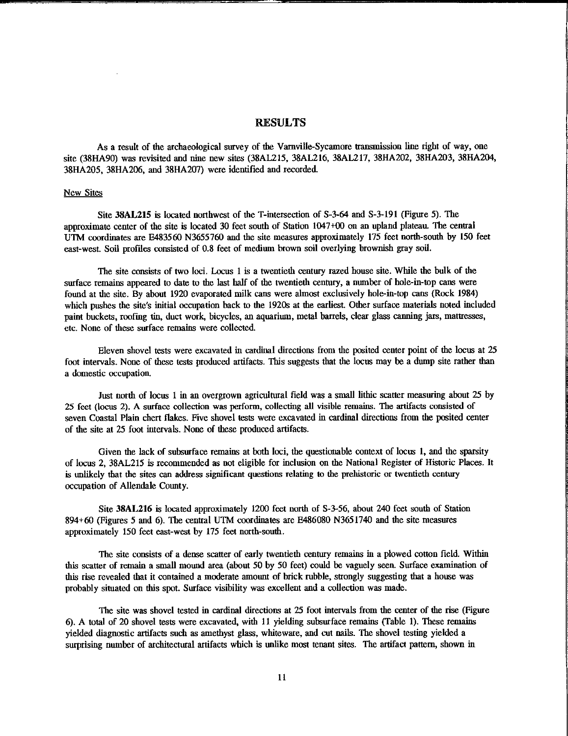### RESULTS

As a result of the archaeological survey of the Varnville-Sycamore transmission line right of way, one site (38HA90) was revisited and nine new sites (38AL215, 38AL216, 38AL217, 38HA202, 38HA203, 38HA204, 38HA205, 38HA206, and 38HA207) were identified and recorded

#### New Sites

Site 38AL215 is located northwest of the T-intersection of S-3-64 and S-3-191 (Figure 5). The approximate center of the site is located 30 feet south of Station 1047+00 on an upland plateau. The central UTM coordinates are E483560 N3655760 and the site measures approximately 175 feet north-south by 150 feet east-west Soil profiles consisted of 0.8 feet of medium brown soil overlying brownish gray soil.

The site consists of two loci. Locus 1 is a twentieth century razed house site. While the bulk of the surface remains appeared to date to the last half of the twentieth century, a number of hole-in-top cans were found at the site. By about 1920 evaporated milk cans were almost exclusively hole-in-top cans (Rock 1984) which pushes the site's initial occupation back to the 1920s at the earliest. Other surface materials noted included paint buckets, roofing tin, duct work, bicycles, an aquarium, metal barrels, clear glass canning jars, mattresses, etc. None of these surface remains were collected

Eleven shovel tests were excavated in cardinal directions from the posited center point of the locus at 25 foot intervals. None of these tests produced artifacts. This suggests that the locus may be a dump site rather than **a domestic occupation.** 

Just north of locus 1 in an overgrown agricultural field was a small lithic scatter measuring about 25 by 25 feet (locus 2). A surface collection was perform, collecting all visible remains. The artifacts consisted of seven Coastal Plain chert flakes. Five shovel tests were excavated in cardinal directions from the posited center of the site at 25 foot intervals. None of these produced artifacts.

Given the lack of subsurface remains at both loci, the questionable context of locus 1, and the sparsity of locus 2, 38AL215 is recommended as not eligible for inclusion on the National Register of Historic Places. It is unlikely that the sites can address significant questions relating to the prehistoric or twentieth century occupation of Allendale County.

Site 38AL216 is located approximately 1200 feet north of S-3-56, about 240 feet south of Station 894+60 (Figures 5 and 6). The central UTM coordinates are E486080 N3651740 and the site measures approximately 150 feet east-west by 175 feet north-south.

The site consists of a dense scatter of early twentieth century remains in a plowed cotton field Within this scatter of remain a small mound area (about 50 by 50 feet) could be vaguely seen. Surface examination of this rise revealed that it contained a moderate amount of brick rubble, strongly suggesting that a house was probably situated on this spot. Surface visibility was excellent and a collection was made.

The site was shovel tested in cardinal directions at 25 foot intervals from the center of the rise (Figure 6). A total of 20 shovel tests were excavated, with 11 yielding subsurface remains (Table 1). These remains yielded diagnostic artifacts such as amethyst glass, whiteware, and cut nails. The shovel testing yielded a surprising number of architectural artifacts which is unlike most tenant sites. The artifact pattern, shown in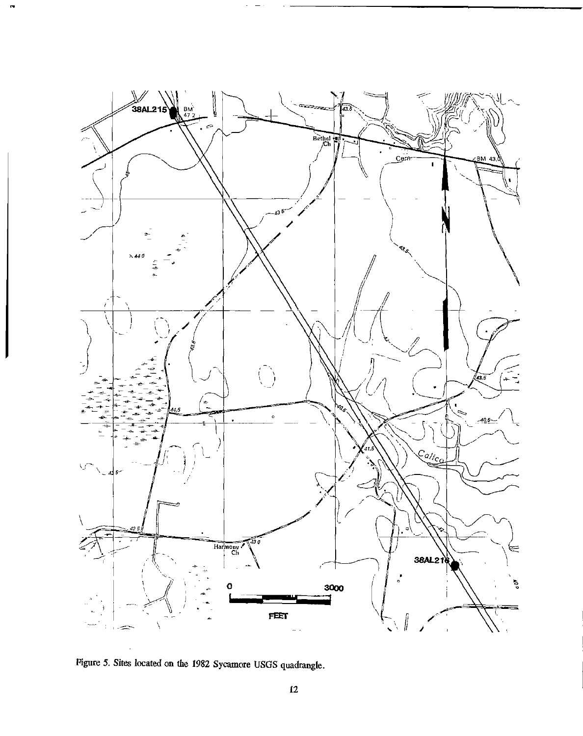

Figure 5. Sites located on the 1982 Sycamore USGS quadrangle.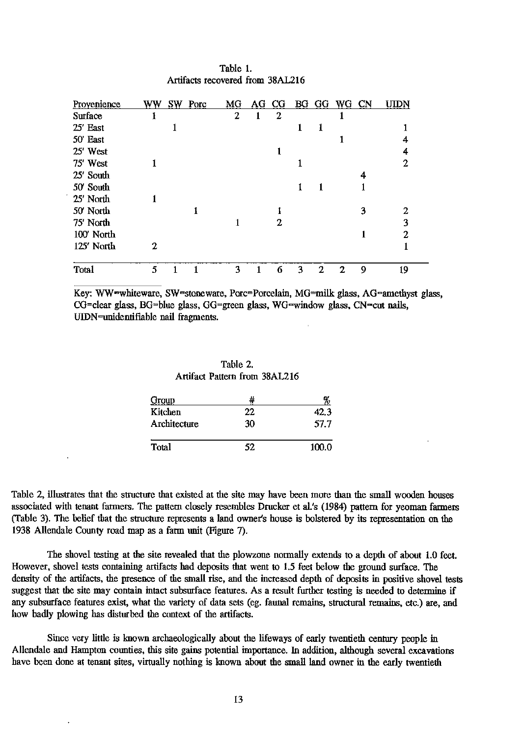| Provenience | ww | SW Porc | MG | AG CG |   |   | BG GG WG CN |   | UIDN |
|-------------|----|---------|----|-------|---|---|-------------|---|------|
| Surface     |    |         | 2  | 2     |   |   |             |   |      |
| 25 East     |    |         |    |       |   |   |             |   |      |
| 50 East     |    |         |    |       |   |   |             |   |      |
| 25' West    |    |         |    |       |   |   |             |   |      |
| 75' West    |    |         |    |       |   |   |             |   | 2    |
| 25' South   |    |         |    |       |   |   |             | 4 |      |
| 50' South   |    |         |    |       |   |   |             |   |      |
| 25' North   |    |         |    |       |   |   |             |   |      |
| 50 North    |    |         |    |       |   |   |             | З |      |
| 75' North   |    |         |    | 2     |   |   |             |   | 3    |
| 100' North  |    |         |    |       |   |   |             |   |      |
| 125' North  | 2  |         |    |       |   |   |             |   |      |
| Total       | 5  |         | 3  | 6     | ٩ | 2 | 2.          | 9 | 19   |

Table I. Artifacts recovered from 38AL216

Key: WW=whiteware, SW=stoneware, Porc=Porcelain, MG=milk glass, AG=amethyst glass, CG=clear glass, BG=blue glass, GG=green glass, WG=window glass, CN=cut nails, UIDN=unidentifiable nail fragments.

Table 2. Artifact Pattern from 38AL216

| Group        |    | 70    |
|--------------|----|-------|
| Kitchen      | 22 | 42.3  |
| Architecture | 30 | 57.7  |
| Total        | 52 | 100.0 |

Table 2, illustrates that the structure that existed at the site may have been more than the small wooden bonses associated with tenant farmers. The pattern closely resembles Drucker et al.'s (1984) pattern for yeoman farmers (Table 3). Tbe belief that the structure represents a land owner's house is bolstered by its representation on the 1938 Allendale County road map as a farm nnit (Figure 7).

The shovel testing at the site revealed that the plowzone normally extends to a depth of about 1.0 feet. However, shovel tests containing artifacts had deposits that went to 1.5 feet below the ground surface. Tbe density of the artifacts, the presence of the small rise, and the increased depth of deposits in positive shovel tests suggest that the site may contain intact subsurface features. As a result further testing is needed to determine if any subsurface features exist, what the variety of data sets (eg. fauna! remains, structural remains, etc.) are, and how badly plowing has disturbed the conrext of the artifacts.

Since very little is known archaeologically about the lifeways of early twentieth century people in Allendale and Hampton counties, this site gains potential importance. In addition, although several excavations have been done at tenant sites, virtually nothing is known about the small land owner in the early twentieth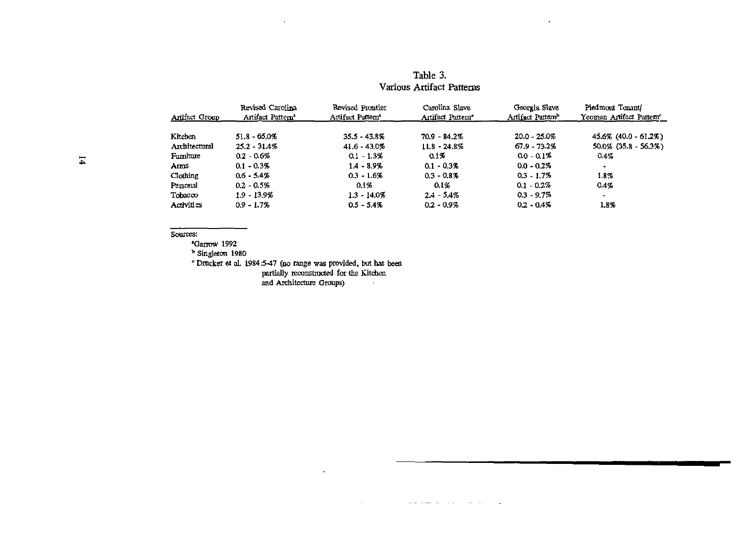| Artifact Group | Revised Carolina<br>Artifact Pattem <sup>1</sup> | Revised Frontier<br>Artifact Pattem <sup>1</sup> | Carolina Slave<br>Artifact Pattern <sup>*</sup> | Georgia Slave<br>Artifact Pattern <sup>b</sup> | Piedmont Tenant<br>Yeoman Artifact Pattem <sup>e</sup> |
|----------------|--------------------------------------------------|--------------------------------------------------|-------------------------------------------------|------------------------------------------------|--------------------------------------------------------|
|                |                                                  |                                                  |                                                 |                                                |                                                        |
| Kitchen        | $51.8 - 65.0%$                                   | $35.5 - 43.8\%$                                  | $70.9 - 84.2%$                                  | $20.0 - 25.0%$                                 | 45.6% (40.0 - 61.2%)                                   |
| Architectural  | $25.2 - 31.4\%$                                  | $41.6 - 43.0%$                                   | $11.8 - 24.8\%$                                 | $67.9 - 73.2%$                                 | 50.0% (35.8 - 56.3%)                                   |
| Furniture      | $0.2 - 0.6%$                                     | $0.1 - 1.3%$                                     | $0.1\%$                                         | $0.0 - 0.1%$                                   | $0.4\%$                                                |
| Ams            | $0.1 - 0.3%$                                     | $1.4 - 8.9%$                                     | $0.1 - 0.3%$                                    | $0.0 - 0.2\%$                                  | ٠                                                      |
| Clothing       | $0.6 - 5.4%$                                     | $0.3 - 1.6%$                                     | $0.3 - 0.8\%$                                   | $0.3 - 1.7%$                                   | 1.8%                                                   |
| Personal       | $0.2 - 0.5%$                                     | 0.1%                                             | $0.1\%$                                         | $0.1 - 0.2\%$                                  | $0.4\%$                                                |
| Tobacco        | $1.9 - 13.9\%$                                   | $1.3 - 14.0\%$                                   | $2.4 - 5.4\%$                                   | $0.3 - 9.7\%$                                  | -                                                      |
| Activities     | $0.9 - 1.7%$                                     | $0.5 - 5.4%$                                     | $0.2 - 0.9\%$                                   | $0.2 - 0.4\%$                                  | 1.8%                                                   |

## Table 3. Various Artifact Patterns

 $\ddot{\phantom{0}}$ 

#### Sources:

<sup>\*</sup>Garrow 1992

<sup>b</sup> Singleton 1980

• Drucker et al. 1984:5-47 (no range was provided, but has been<br>partially reconstructed for the Kitchen<br>and Architecture Groups)

 $\cdot$ 

 $\mathcal{L}$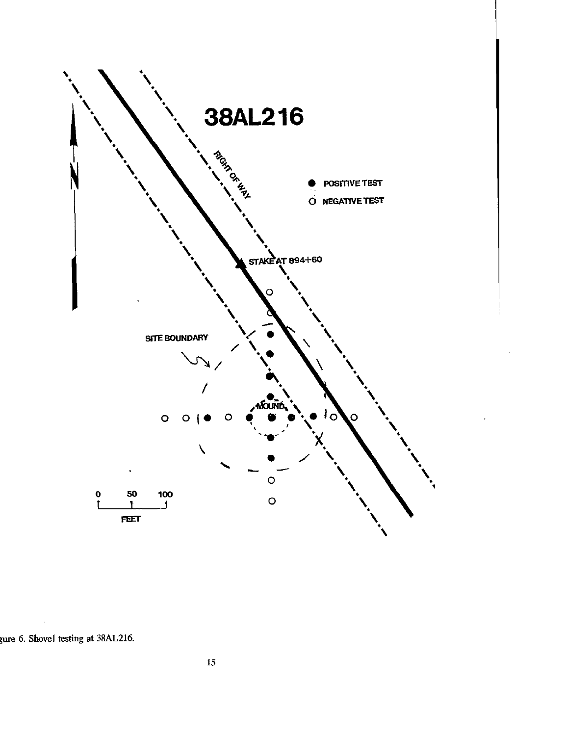

gure 6. Shovel testing at 38AL216.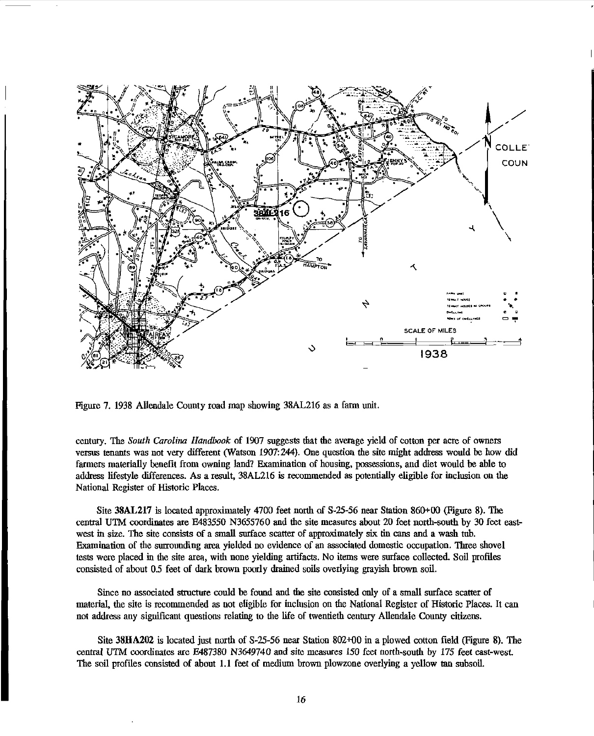

Figure 7. 1938 Allendale County road map showing 38AL216 as a farm unit.

century. The *South Carolina Handbook* of 1907 suggests that fue average yield of cotton per acre of owners versus tenants was not very different (Watson 1907:244). One question fue site might address would be how did farmers materially benefit from owning land? Examination of housing, possessions, and diet would be able to address lifestyle differences. As a result, 38AL216 is recommended as potentially eligible for inclusion on the National Register of Historic Places.

Site 38AL217 is located approximately 4700 feet north of S-25-56 near Station 860+00 (Figure 8). The central UTM coordinates are E483550 N3655760 and the site measures about 20 feet north-south by 30 feet eastwest in size. The site consists of a small surface scatter of approximately six tin cans and a wash tub. Examination of the surrounding area yielded no evidence of an associated domestic occupation. Three shovel tests were placed in the site area, wifu none yielding artifacts. No items were surface collected. Soil profiles consisted of about *05* feet of dark brown poorly drained soils overlying grayish brown soil.

Since no associated structure could be found and the site consisted only of a small surface scatter of material, fue site is recommended as not eligible for inclusion on the National Register of Historic Places. It can not address any significant questious relating to fue life of twentiefu century Allendale County citizens.

Site 38HA202 is located just norfu of S-25-56 near Station 802+00 in a plowed cotton field (Figure 8). The central UTM coordinates are E487380 N3649740 and site measures 150 feet north-south by 175 feet east-west. The soil profiles consisted of about 1.1 feet of medium brown plowzone overlying a yellow tan subsoil.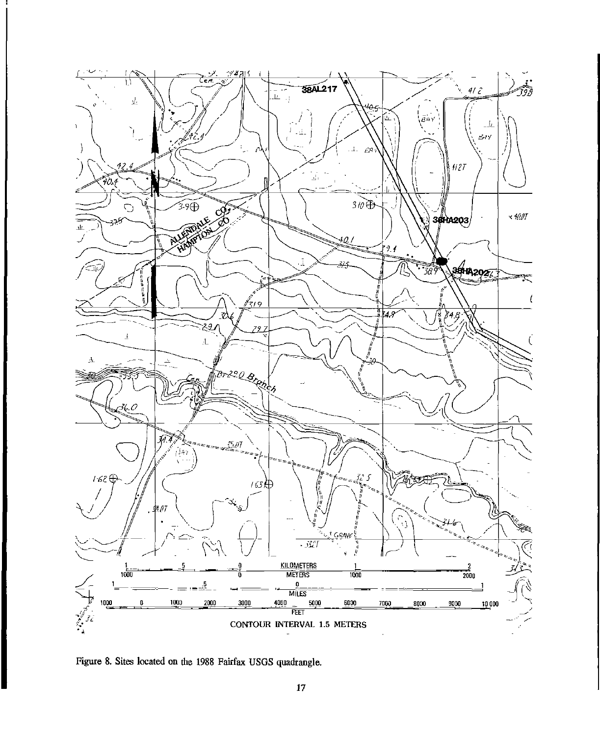

Figure 8. Sites located on the 1988 Fairfax USGS quadrangle.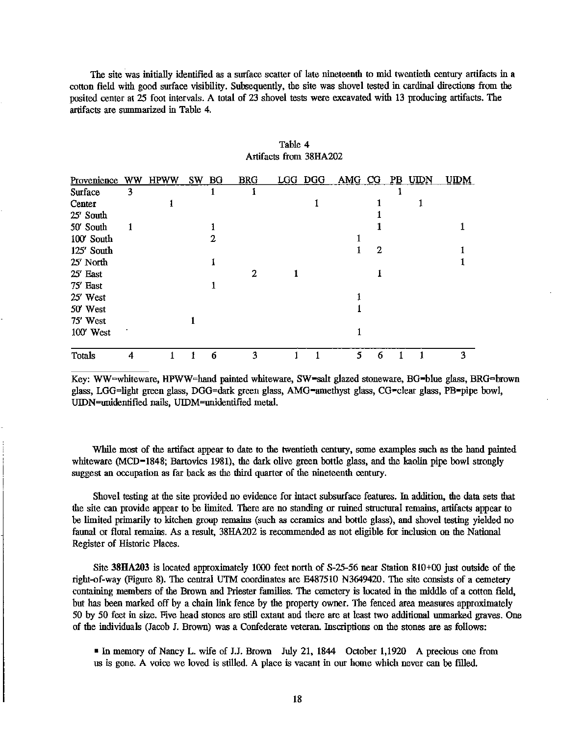The site was initially identified as a surface scatter of late nineteenth to mid rwentieth century artifacts in a cotton field with good snrface visibility. Subsequently, the site was shovel tested in cardinal directions from the posited center at 25 foot intervals. A total of 23 shovel tests were excavated with 13 producing artifacts. The artifacts are swnmarized in Table 4.

| Provenience WW HPWW |   |  | SW BG | <b>BRG</b> | LGG DGG | AMG CG |             | P <sub>B</sub> | UIDN | <b>UIDM</b> |
|---------------------|---|--|-------|------------|---------|--------|-------------|----------------|------|-------------|
| Surface             | 3 |  |       |            |         |        |             |                |      |             |
| Center              |   |  |       |            |         |        |             |                |      |             |
| 25' South           |   |  |       |            |         |        |             |                |      |             |
| 50' South           |   |  |       |            |         |        |             |                |      |             |
| 100' South          |   |  |       |            |         |        |             |                |      |             |
| 125' South          |   |  |       |            |         |        | $\mathbf 2$ |                |      |             |
| 25' North           |   |  |       |            |         |        |             |                |      |             |
| 25' East            |   |  |       | 2          |         |        |             |                |      |             |
| 75' East            |   |  |       |            |         |        |             |                |      |             |
| 25' West            |   |  |       |            |         |        |             |                |      |             |
| 50 West             |   |  |       |            |         |        |             |                |      |             |
| 75' West            |   |  |       |            |         |        |             |                |      |             |
| 100' West           |   |  |       |            |         |        |             |                |      |             |
| <b>Totals</b>       | 4 |  | 6     | ٩          |         | 5.     | 6           |                |      | 3           |

| Table 4 |                        |
|---------|------------------------|
|         | Artifacts from 38HA202 |

Key: WW=whiteware, HPWW=hand painted whiteware, SW=salt glazed stoneware, BG=blue glass, BRG=brown glass, LGG=light green glass, DGG=dark green glass, AMG=amethyst glass, CG=clear glass, PB=pipe bowl, UIDN=unidentified nails, UIDM=unidentified metal.

While most of the artifact appear to date to the twentieth century, some examples such as the hand painted whiteware (MCD-1848; Bartovics 1981), the dark olive green bottle glass, and the kaolin pipe bowl strongly suggest an occupation as far back as the third quarter of the nineteenth century.

Shovel testing at the site provided no evidence for intact subsurface features. In addition, the data sets that the site can provide appear to be limited. There are no standing or ruined structural remains, artifacts appear to be limited primarily to kitchen group remains (such as ceramics and bottle glass), and shovel testing yielded no fauna! or floral remains. As a result, 38HA202 is recommended as not eligible for inclusion on the National Register of Historic Places.

Site **38HA203** is located approximately 1000 feet north of S-25-56 near Station 810+00 just outside of the right-of-way (Figure 8). The central UTM coordinates are E487510 N3649420. The site consists of a cemetery containing members of the Brown and Priester families. The cemetery is located in the middle of a cotton field, but has been marked off by a chain link fence by the property owner. The fenced area measures approximately 50 by 50 feet in size. Five head stones are still extant and there are at least rwo additional unmarked graves. One of the individuals (Jacob J. Brown) was a Confederate veteran. Inscriptions on the stones are as follows:

•In memory of Nancy L wife of J.J. Brown July 21, 1844 October 1,1920 A precious one from us is gone. A voice we loved is stilled. A place is vacant in our home which never can be filled.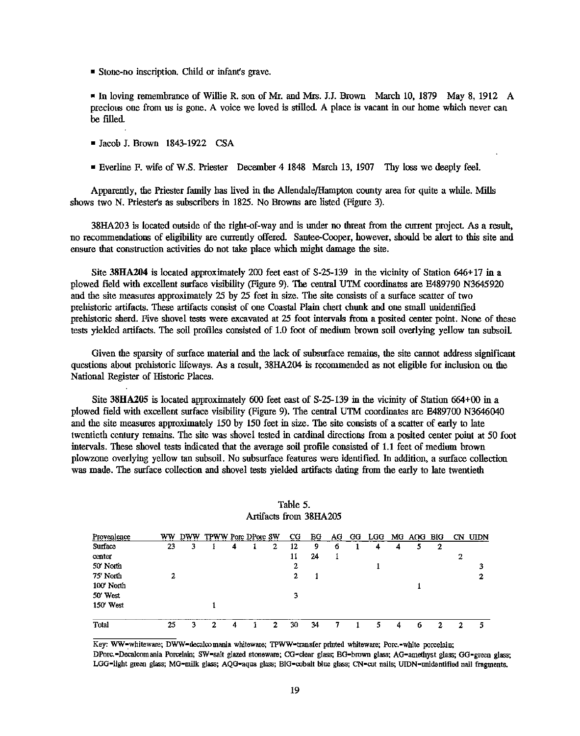$\blacksquare$  Stone-no inscription. Child or infant's grave.

• In loving remembrance of Willie R. son of Mr. and Mrs. J.J. Brown March 10, 1879 May 8, 1912 A precious one from us is gone. A voice we loved is stilled. A place is vacant in our home which never can be filled.

- Jacob J. Brown 1843-1922 CSA
- Everline F. wife of W.S. Priester December 4 1848 March 13, 1907 Thy loss we deeply feel.

Apparently, the Priester family has lived in the Allendale/Hampton county area for quite a while. Mills shows two N. Priester's as subscribers in 1825. No Browns are listed (Figure 3).

38HA203 is located outside of the right-of-way and is under no threat from the current project. As a result, no recommendations of eligibility are currently offered. Santee-Cooper, however, should be alert to this site and ensure that construction activities do not take place which might damage the site.

Site 38HA204 is located approximately 200 feet east of S-25-139 in the vicinity of Station 646+ 17 in a plowed field with excellent surface visibility (Figure 9). The central UTM coordinates are E489790 N3645920 and the site measures approximately 25 by 25 feet in size. The site consists of a surface scatter of two prehistoric artifacts. These artifacts consist of one Coastal Plain chert chunk and one small unidentified prehistoric sherd. Five shovel tests were excavated at 25 foot intervals from a posited center point. None of these tests yielded artifacts. The soil profiles consisted of 1.0 foot of medimn brown soil overlying yellow tan subsoil

Given the sparsity of surface material and the lack of subsurface remains, the site cannot address significant questions about prehistoric lifeways. As a result, 38HA204 is recommended as not eligible for inclusion on the National Register of Historic Places.

Site **38HA205** is located approximately 600 feet east of S-25-139 in the vicinity of Station 664+00 in a plowed field with excellent surface visibility (Figure 9). The centtal UTM coordinates are E489700 N3646040 and the site measures approximately 150 by 150 feet in size. The site consists of a scatter of early to late twentieth century remains. The site was shovel tested in cardinal directions from a posited center point at 50 foot intervals. These shovel tests indicated that the average soil profile consisted of 1.1 feet of medium brown plowzone overlying yellow tan subsoil. No subsurface features were identified. In addition, a surface collection was made. The surface collection and shovel tests yielded artifacts dating from the early to late twentieth

| Provenience | ww | DWW | TPWW Porc DPorc SW |   |    | CG. | BG | AG | GG | LGG |   | MG AOG BIG |   |   | CN UIDN |
|-------------|----|-----|--------------------|---|----|-----|----|----|----|-----|---|------------|---|---|---------|
| Surface     | 23 | 3   |                    | 4 | 2  | 12  | 9  | 6  |    | 4   | 4 |            | 2 |   |         |
| center      |    |     |                    |   |    | 11  | 24 |    |    |     |   |            |   | 2 |         |
| 50' North   |    |     |                    |   |    | 2   |    |    |    |     |   |            |   |   | 2       |
| 75' North   | 2  |     |                    |   |    | 2   |    |    |    |     |   |            |   |   | 2       |
| 100 North   |    |     |                    |   |    |     |    |    |    |     |   |            |   |   |         |
| 50' West    |    |     |                    |   |    | 3   |    |    |    |     |   |            |   |   |         |
| 150 West    |    |     |                    |   |    |     |    |    |    |     |   |            |   |   |         |
| Total       | 25 | ว   | 2                  | 4 | 2. | 30  | 34 |    |    | 5   |   | 6          | ↷ | ຳ | 5       |

| Table 5. |                        |
|----------|------------------------|
|          | Artifacts from 38HA205 |

Key: WW-whiteware; DWW-decalcomania whiteware; TPWW-transfer printed whiteware; Porc.-white porcelain; DPorc.-Decalcomania Porcelain; SW-salt glazed stoneware; CG-clear glass; BG-brown glass; AG-amethyst glass; GG-green glass; LGG-light green glass; MG-milk glass; AQG-aqua glass; BIG-cobalt blue glass; CN-cut nails; UIDN-unidentified nail fragments.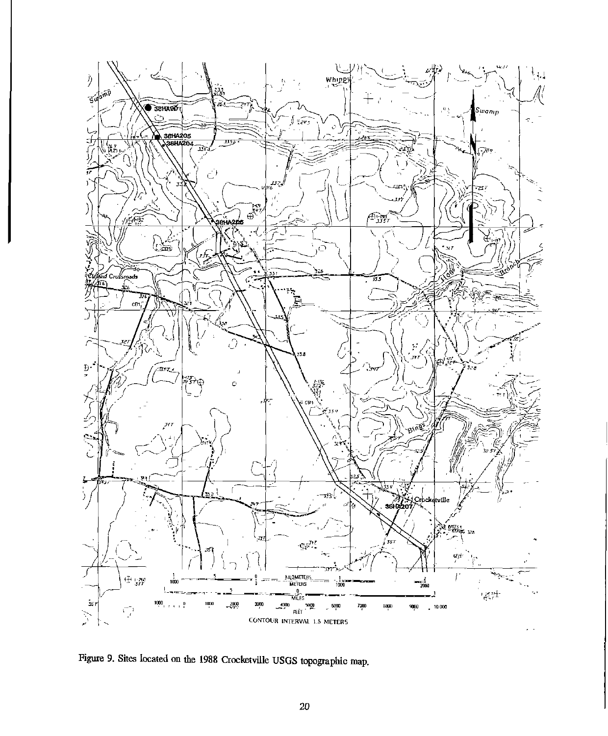

Figure 9. Sites located on the 1988 Crocketville USGS topographic map.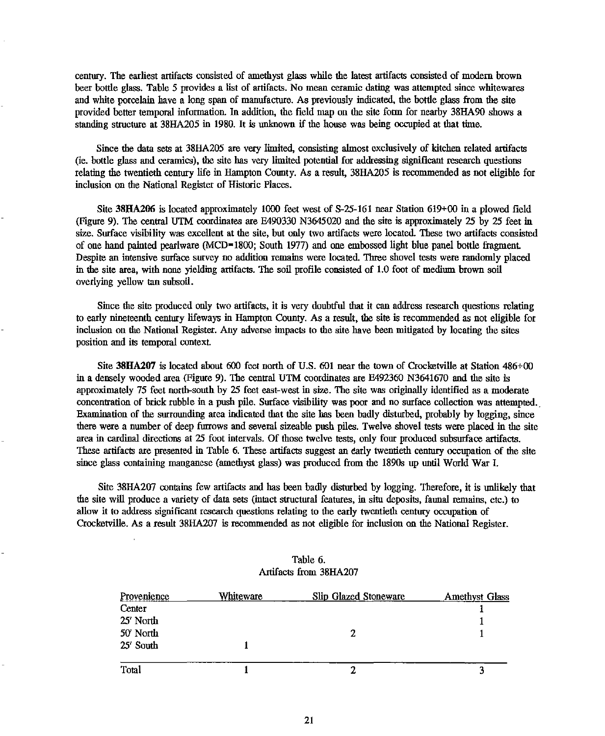century. The earliest artifacts consisted of amethyst glass while the latest artifacts consisted of modern brown beer bottle glass. Table 5 provides a list of artifacts. No mean ceramic dating was attempted since whitewares and white porcelain have a long span of manufacture. As previously indicated, the bottle glass from the site provided better temporal information. In addition, the field map on the site form for nearby 38HA90 shows a standing structure at 38HA205 in 1980. It is unknown if the house was being occupied at that time.

Since the data sets at 38HA205 are very limited, consisting almost exclusively of kitchen related artifacts (ie. bottle glass and ceramics), the site has very limited potential for addressing significant research questions relating the twentieth century life in Hampton County. As a result, 38HA205 is recommended as not eligible for inclusion on the National Register of Historic Places.

Site 38HA206 is located approximately 1000 feet west of S-25-161 near Station 619+00 in a plowed field (Figure 9). The central U1M coordinates are E490330 N3645020 and the site is approximately 25 by 25 feet in size. Surface visibility was excellent at the site, but only two artifacts were located. These two artifacts consisted of one hand painted pearlware (MCD•1800; South 1977) and one embossed light blue panel bottle fragment Despite an intensive surface survey no addition remains were located. Three shovel tests were randomly placed in the site area, with none yielding artifacts. The soil profile consisted of 1.0 foot of medium brown soil overlying yellow tan subsoil.

Since the site produced only two artifacts, it is very doubtful that it can address research questions relating to early nineteenth century lifeways in Hampton County. As a result, the site is recommended as not eligible for inclusion on the National Register. Any adverse impacts to the site have been mitigated by locating the sites position and its temporal context.

Site 38HA207 is located about 600 feet north of U.S. 601 near the town of Crocketville at Station 486+00 in a densely wooded area (Figure 9). The central UTM coordinates are E492360 N3641670 and the site is approximately 75 feet north-south by 25 feet east-west in size. The site was originally identified as a moderate concentration of brick rubble in a push pile. Surface visibility was poor and no surface collection was attempted. Examination of the surrounding area indicated that the site has been badly disturbed, probably by logging, since there were a number of deep furrows and several sizeable push piles. Twelve shovel tests were placed in the site area in cardinal directions at 25 foot intervals. Of those twelve tests, only four produced subsurface artifacts. These artifacts are presented in Table 6. These artifacts suggest an early twentieth century occupation of the site since glass containing manganese (amethyst glass) was produced from the 1890s up until World War L

Site 38HA207 contains few artifacts and has been badly disturbed by logging. Therefore, it is unlikely that the site will produce a variety of data sets (intact structural features, in situ deposits, faunal remains, etc.) to allow it to address significant research questions relating to the early twentieth century occupation of Crocketville. As a result 38HA207 is recommended as not eligible for inclusion on the National Register.

| Provenience | Whiteware | <b>Slip Glazed Stoneware</b> | <b>Amethyst Glass</b> |
|-------------|-----------|------------------------------|-----------------------|
| Center      |           |                              |                       |
| 25' North   |           |                              |                       |
| 50' North   |           |                              |                       |
| 25' South   |           |                              |                       |
| Total       |           |                              |                       |

| Table 6. |                        |
|----------|------------------------|
|          | Artifacts from 38HA207 |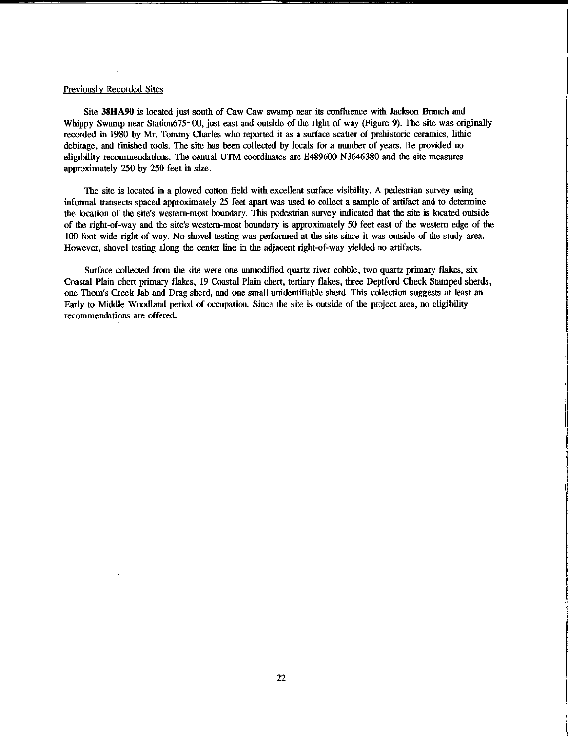#### Previously Recorded Sites

Site **38HA90** is located just south of Caw Caw swamp near its confluence with Jackson Branch and Whippy Swamp near Station675+00, just east and outside of the right of way (Figure 9). The site was originally recorded in 1980 by Mr. Tommy Charles who reported it as a surface scatter of prehistoric ceramics, lithic debitage, and finished tools. The site has been collected by locals for a number of years. He provided no eligibility recommendations. The central UTM coordinates are E489600 N3646380 and the site measures approximately 250 by 250 feet in size.

The site is located in a plowed cotton field with excellent surface visibility. A pedestrian survey using informal transects spaced approximately 25 feet apart was used to collect a sample of artifact and to determine the location of the site's western-most boundary. This pedestrian survey indicated that the site is located outside of the right-of-way and the site's western-most boundary is approximately 50 feet east of the western edge of the 100 foot wide right-of-way. No shovel testing was performed at the site since it was outside of the study area. However, shovel testing along the center line in the adjacent right-of-way yielded no artifacts.

Surface collected from the site were one unmodified quartz river cobble, two quartz primary flakes, six Coastal Plaio chert primary flakes, 19 Coastal Plaio chen, teniary flakes, three Deptford Check Stamped sherds, one Thom's Creek Jab and Drag sherd, and one small unidentifiable sherd. This collection suggests at least an Early to Middle Woodland period of occupation. Since the site is outside of the project area, no eligibility recommendations are offered.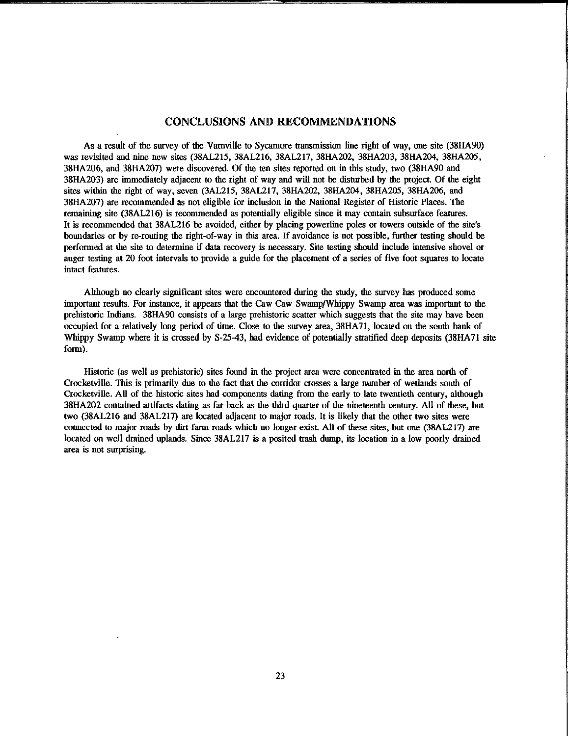## CONCLUSIONS ANID RECOMMENDATIONS

As a result of the survey of the Varnville to Sycamore transmission line right of way, one site (38HA90) was revisited and nine new sites (38AL215, 38AL216, 38AL217, 38HA202, 38HA203, 38HA204, 38HA205, 38HA206, and 38HA207) were discovered. Of the ten sites reported on in this study, two (38HA90 and 38HA203) are immediately adjacent to the right of way and will not be disturbed by the project. Of the eight sites within the right of way, seven (3AL215, 38AL217, 38HA202, 38HA204, 38HA205, 38HA206, and 38HA207) are recommended as not eligible for inclusion in the National Register of Historic Places. The remaining site (38AL216) is recommended as potentially eligible since it may contain subsurface features. It is recommended that 38AL216 be avoided, either by placing powerline poles or towers outside of the site's boundaries or by re-routing the right-of-way in this area. If avoidance is not possible, further testing should be performed at the site to determine if data recovery is necessary. Site testing should include intensive shovel or auger testing at 20 foot intervals to provide a guide for the placement of a series of five foot squares to locate intact features.

Although no clearly significant sites were encountered during the study, the survey has produced some important results. For instance, it appears that the Caw Caw Swamp/Whippy Swamp area was important to the prehistoric Indians. 38HA90 consists of a large prehistoric scatter which suggests that the site may have been occupied for a relatively long period of time. Close to the survey area, 38HA71, located on the south bank of Whippy Swamp where it is crossed by S-25-43, had evidence of potentially stratified deep deposits (38HA71 site form).

Historic (as well as prehistoric) sites found in the project area were concentrated in the area north of Crocketville. This is primarily due to the fact that the corridor crosses a large number of wetlands south of Crocketville. All of the historic sites had components dating from the early to late twentieth century, although 38HA202 contained artifacts dating as far back as the third quarter of the nineteenth century. All of these, but two (38AL216 and 38AL217) are located adjacent to major roads. It is likely that the other two sites were connected to major roads by dirt farm roads which no longer exist. All of these sites, but one (38AL217) are located on well drained uplands. Since 38AL217 is a posited trash dump, its location in a low poorly drained **area is not surprising.**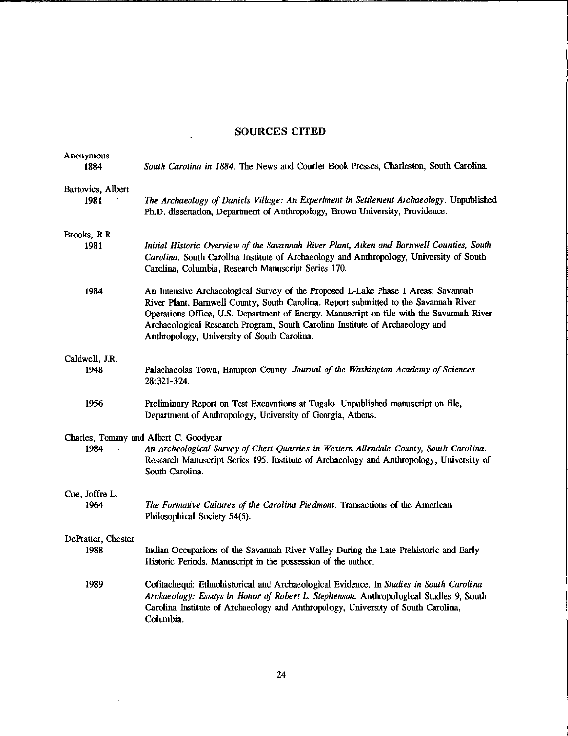# SOURCES CITED

 $\overline{a}$ 

| Anonymous<br>1884         | South Carolina in 1884. The News and Courier Book Presses, Charleston, South Carolina.                                                                                                                                                                                                                                                                                                               |
|---------------------------|------------------------------------------------------------------------------------------------------------------------------------------------------------------------------------------------------------------------------------------------------------------------------------------------------------------------------------------------------------------------------------------------------|
|                           |                                                                                                                                                                                                                                                                                                                                                                                                      |
| Bartovics, Albert<br>1981 | The Archaeology of Daniels Village: An Experiment in Settlement Archaeology. Unpublished<br>Ph.D. dissertation, Department of Anthropology, Brown University, Providence.                                                                                                                                                                                                                            |
| Brooks, R.R.              |                                                                                                                                                                                                                                                                                                                                                                                                      |
| 1981                      | Initial Historic Overview of the Savannah River Plant, Aiken and Barnwell Counties, South<br>Carolina. South Carolina Institute of Archaeology and Anthropology, University of South<br>Carolina, Columbia, Research Manuscript Series 170.                                                                                                                                                          |
| 1984                      | An Intensive Archaeological Survey of the Proposed L-Lake Phase 1 Areas: Savannah<br>River Plant, Barnwell County, South Carolina. Report submitted to the Savannah River<br>Operations Office, U.S. Department of Energy. Manuscript on file with the Savannah River<br>Archaeological Research Program, South Carolina Institute of Archaeology and<br>Anthropology, University of South Carolina. |
| Caldwell, J.R.            |                                                                                                                                                                                                                                                                                                                                                                                                      |
| 1948                      | Palachacolas Town, Hampton County. Journal of the Washington Academy of Sciences<br>28.321-324.                                                                                                                                                                                                                                                                                                      |
| 1956                      | Preliminary Report on Test Excavations at Tugalo. Unpublished manuscript on file,<br>Department of Anthropology, University of Georgia, Athens.                                                                                                                                                                                                                                                      |
| 1984                      | Charles, Tommy and Albert C. Goodyear<br>An Archeological Survey of Chert Quarries in Western Allendale County, South Carolina.<br>Research Manuscript Series 195. Institute of Archaeology and Anthropology, University of<br>South Carolina.                                                                                                                                                       |
| Coe, Joffre L.            |                                                                                                                                                                                                                                                                                                                                                                                                      |
| 1964                      | The Formative Cultures of the Carolina Piedmont. Transactions of the American<br>Philosophical Society 54(5).                                                                                                                                                                                                                                                                                        |
| DePratter, Chester        |                                                                                                                                                                                                                                                                                                                                                                                                      |
| 1988                      | Indian Occupations of the Savannah River Valley During the Late Prehistoric and Early<br>Historic Periods. Manuscript in the possession of the author.                                                                                                                                                                                                                                               |
| 1989                      | Cofitachequi: Ethnohistorical and Archaeological Evidence. In Studies in South Carolina<br>Archaeology: Essays in Honor of Robert L. Stephenson. Anthropological Studies 9, South<br>Carolina Institute of Archaeology and Anthropology, University of South Carolina,<br>Columbia.                                                                                                                  |

 $\sim 10^{-11}$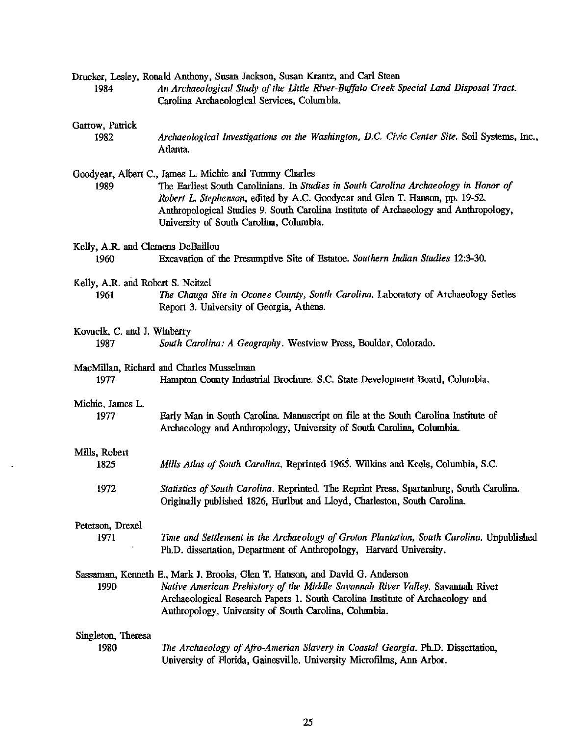| 1984                                      | Drucker, Lesley, Ronald Anthony, Susan Jackson, Susan Krantz, and Carl Steen<br>An Archaeological Study of the Little River-Buffalo Creek Special Land Disposal Tract.<br>Carolina Archaeological Services, Columbia.                                                                                                                                             |
|-------------------------------------------|-------------------------------------------------------------------------------------------------------------------------------------------------------------------------------------------------------------------------------------------------------------------------------------------------------------------------------------------------------------------|
| Garrow, Patrick<br>1982                   | Archaeological Investigations on the Washington, D.C. Civic Center Site. Soil Systems, Inc.,<br>Atlanta.                                                                                                                                                                                                                                                          |
| 1989                                      | Goodyear, Albert C., James L. Michie and Tommy Charles<br>The Earliest South Carolinians. In Studies in South Carolina Archaeology in Honor of<br>Robert L. Stephenson, edited by A.C. Goodyear and Glen T. Hanson, pp. 19-52.<br>Anthropological Studies 9. South Carolina Institute of Archaeology and Anthropology,<br>University of South Carolina, Columbia. |
| Kelly, A.R. and Clemens DeBaillou         |                                                                                                                                                                                                                                                                                                                                                                   |
| 1960                                      | Excavation of the Presumptive Site of Estatoe. Southern Indian Studies 12:3-30.                                                                                                                                                                                                                                                                                   |
| Kelly, A.R. and Robert S. Neitzel<br>1961 | The Chauga Site in Oconee County, South Carolina. Laboratory of Archaeology Series<br>Report 3. University of Georgia, Athens.                                                                                                                                                                                                                                    |
| Kovacik, C. and J. Winberry<br>1987       | South Carolina: A Geography. Westview Press, Boulder, Colorado.                                                                                                                                                                                                                                                                                                   |
| 1977                                      | MacMillan, Richard and Charles Musselman<br>Hampton County Industrial Brochure. S.C. State Development Board, Columbia.                                                                                                                                                                                                                                           |
| Michie, James L.<br>1977                  | Early Man in South Carolina. Manuscript on file at the South Carolina Institute of<br>Archaeology and Anthropology, University of South Carolina, Columbia.                                                                                                                                                                                                       |
| Mills, Robert<br>1825                     | Mills Atlas of South Carolina. Reprinted 1965. Wilkins and Keels, Columbia, S.C.                                                                                                                                                                                                                                                                                  |
| 1972                                      | Statistics of South Carolina, Reprinted. The Reprint Press, Spartanburg, South Carolina.<br>Originally published 1826, Hurlbut and Lloyd, Charleston, South Carolina.                                                                                                                                                                                             |
|                                           |                                                                                                                                                                                                                                                                                                                                                                   |
| Peterson, Drexel<br>1971                  | Time and Settlement in the Archaeology of Groton Plantation, South Carolina. Unpublished<br>Ph.D. dissertation, Department of Anthropology, Harvard University.                                                                                                                                                                                                   |
| 1990                                      | Sassaman, Kenneth E., Mark J. Brooks, Glen T. Hanson, and David G. Anderson<br>Native American Prehistory of the Middle Savannah River Valley. Savannah River<br>Archaeological Research Papers 1. South Carolina Institute of Archaeology and<br>Anthropology, University of South Carolina, Columbia.                                                           |
| Singleton, Theresa<br>1980                | The Archaeology of Afro-Amerian Slavery in Coastal Georgia. Ph.D. Dissertation,<br>University of Florida, Gainesville. University Microfilms, Ann Arbor.                                                                                                                                                                                                          |

 $\langle \rangle$